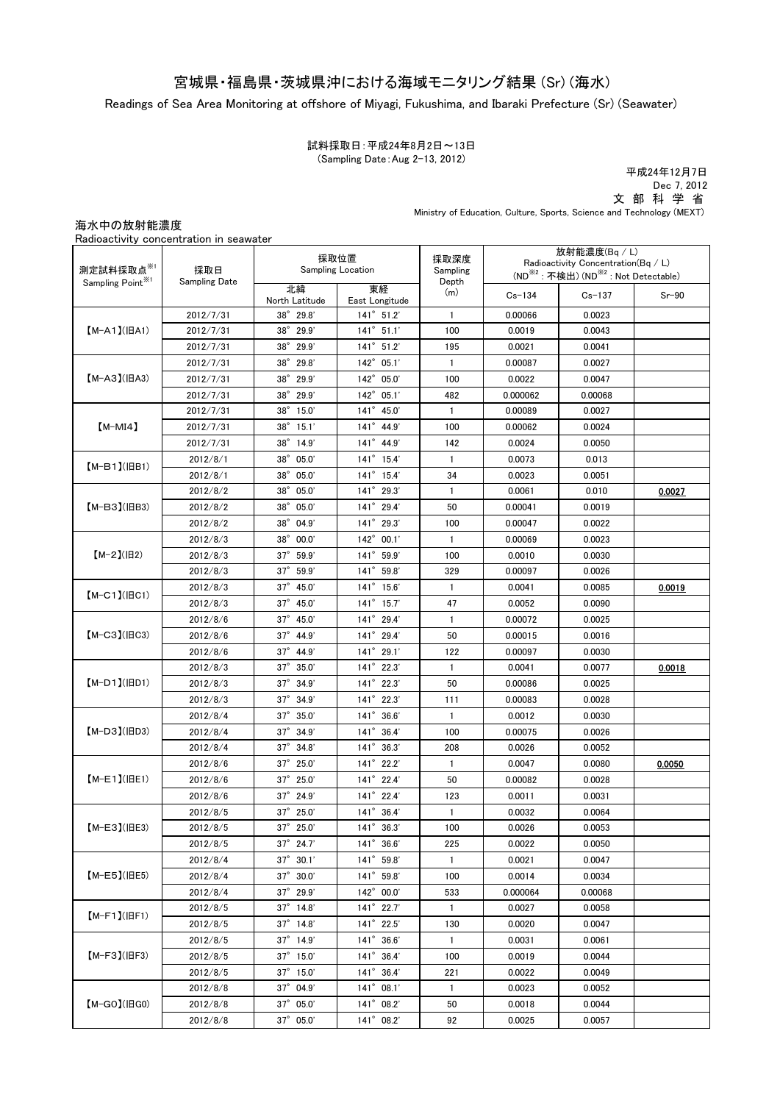# 宮城県・福島県・茨城県沖における海域モニタリング結果 (Sr) (海水)

Readings of Sea Area Monitoring at offshore of Miyagi, Fukushima, and Ibaraki Prefecture (Sr) (Seawater)

#### 試料採取日:平成24年8月2日~13日 (Sampling Date:Aug 2-13, 2012)

 文 部 科 学 省 平成24年12月7日 Dec 7, 2012

Ministry of Education, Culture, Sports, Science and Technology (MEXT)

### 海水中の放射能濃度

| Radioactivity concentration in seawater |  |
|-----------------------------------------|--|
|                                         |  |

| 測定試料採取点※1<br>採取日<br>Sampling Point <sup>※1</sup><br><b>Sampling Date</b> | 採取位置<br>Sampling Location |                      | 採取深度<br>Sampling       | 放射能濃度(Bq/L)<br>Radioactivity Concentration( $Bq / L$ )       |            |            |         |
|--------------------------------------------------------------------------|---------------------------|----------------------|------------------------|--------------------------------------------------------------|------------|------------|---------|
|                                                                          |                           |                      |                        | (ND <sup>※2</sup> : 不検出) (ND <sup>※2</sup> : Not Detectable) |            |            |         |
|                                                                          |                           | 北緯<br>North Latitude | 東経<br>East Longitude   | Depth<br>(m)                                                 | $Cs - 134$ | $Cs - 137$ | $Sr-90$ |
|                                                                          | 2012/7/31                 | 38° 29.8'            | $141^{\circ}$ 51.2'    | $\mathbf{1}$                                                 | 0.00066    | 0.0023     |         |
| $[M-A1](BA1)$                                                            | 2012/7/31                 | $38^\circ$<br>29.9'  | $141^{\circ}$ 51.1'    | 100                                                          | 0.0019     | 0.0043     |         |
|                                                                          | 2012/7/31                 | $38^\circ$<br>29.9'  | 141° 51.2'             | 195                                                          | 0.0021     | 0.0041     |         |
|                                                                          | 2012/7/31                 | $38^\circ$<br>29.8'  | $142^\circ$<br>05.1'   | $\mathbf{1}$                                                 | 0.00087    | 0.0027     |         |
| $[M-A3](HA3)$                                                            | 2012/7/31                 | $38^\circ$<br>29.9'  | 142° 05.0'             | 100                                                          | 0.0022     | 0.0047     |         |
|                                                                          | 2012/7/31                 | $38^\circ$<br>29.9'  | 142° 05.1'             | 482                                                          | 0.000062   | 0.00068    |         |
|                                                                          | 2012/7/31                 | $38^\circ$<br>15.0'  | 141° 45.0'             | $\mathbf{1}$                                                 | 0.00089    | 0.0027     |         |
| $[M-MI4]$                                                                | 2012/7/31                 | $38^{\circ}$ 15.1'   | $141^{\circ}$ 44.9'    | 100                                                          | 0.00062    | 0.0024     |         |
|                                                                          | 2012/7/31                 | 38° 14.9'            | 141° 44.9'             | 142                                                          | 0.0024     | 0.0050     |         |
|                                                                          | 2012/8/1                  | $38^\circ$<br>05.0'  | $141^{\circ}$ 15.4'    | 1                                                            | 0.0073     | 0.013      |         |
| $(M-B1)(IBB1)$                                                           | 2012/8/1                  | 38° 05.0'            | $141^{\circ}$ 15.4'    | 34                                                           | 0.0023     | 0.0051     |         |
|                                                                          | 2012/8/2                  | 38° 05.0'            | 141° 29.3'             | $\mathbf{1}$                                                 | 0.0061     | 0.010      | 0.0027  |
| $[M-B3]$ ( $ BB3$ )                                                      | 2012/8/2                  | $38^\circ$<br>05.0'  | 141° 29.4'             | 50                                                           | 0.00041    | 0.0019     |         |
|                                                                          | 2012/8/2                  | 38° 04.9'            | 141° 29.3'             | 100                                                          | 0.00047    | 0.0022     |         |
|                                                                          | 2012/8/3                  | $38^\circ$<br>00.0'  | 142° 00.1'             | $\mathbf{1}$                                                 | 0.00069    | 0.0023     |         |
| $[M-2](H2)$                                                              | 2012/8/3                  | $37^{\circ}$ 59.9'   | $141^\circ$<br>59.9'   | 100                                                          | 0.0010     | 0.0030     |         |
|                                                                          | 2012/8/3                  | $37^\circ$<br>59.9   | $141^\circ$<br>59.8    | 329                                                          | 0.00097    | 0.0026     |         |
|                                                                          | 2012/8/3                  | $37^{\circ}$ 45.0'   | 141° 15.6'             | 1                                                            | 0.0041     | 0.0085     | 0.0019  |
| $[M-C1]$ ( $ BC1$ )                                                      | 2012/8/3                  | $37^{\circ}$ 45.0'   | $141^{\circ}$ 15.7'    | 47                                                           | 0.0052     | 0.0090     |         |
|                                                                          | 2012/8/6                  | $37^{\circ}$ 45.0'   | $141^{\circ}$ 29.4'    | $\mathbf{1}$                                                 | 0.00072    | 0.0025     |         |
| $[M-C3]$ ( $ HC3$ )                                                      | 2012/8/6                  | $37^{\circ}$ 44.9'   | 141° 29.4'             | 50                                                           | 0.00015    | 0.0016     |         |
|                                                                          | 2012/8/6                  | $37^{\circ}$ 44.9'   | 141° 29.1'             | 122                                                          | 0.00097    | 0.0030     |         |
|                                                                          | 2012/8/3                  | 37° 35.0'            | 141° 22.3'             | $\mathbf{1}$                                                 | 0.0041     | 0.0077     | 0.0018  |
| $(M-D1)(HD1)$                                                            | 2012/8/3                  | $37^\circ$<br>34.9'  | 141° 22.3'             | 50                                                           | 0.00086    | 0.0025     |         |
|                                                                          | 2012/8/3                  | 37° 34.9'            | 141° 22.3'             | 111                                                          | 0.00083    | 0.0028     |         |
|                                                                          | 2012/8/4                  | $37^\circ$<br>35.0'  | $141^\circ$<br>36.6'   | $\mathbf{1}$                                                 | 0.0012     | 0.0030     |         |
| $[M-D3]$ ( $ HD3$ )                                                      | 2012/8/4                  | $37^\circ$<br>34.9'  | 141° 36.4'             | 100                                                          | 0.00075    | 0.0026     |         |
|                                                                          | 2012/8/4                  | $37^\circ$<br>34.8'  | $141^\circ$<br>36.3'   | 208                                                          | 0.0026     | 0.0052     |         |
|                                                                          | 2012/8/6                  | $37^\circ$<br>25.0'  | $141^\circ$<br>22.2'   | $\mathbf{1}$                                                 | 0.0047     | 0.0080     | 0.0050  |
| $(M-E1)(HE1)$                                                            | 2012/8/6                  | $37^\circ$<br>25.0'  | $141^{\circ}$<br>22.4' | 50                                                           | 0.00082    | 0.0028     |         |
|                                                                          | 2012/8/6                  | $37^{\circ}$ 24.9'   | $141^{\circ}$ 22.4'    | 123                                                          | 0.0011     | 0.0031     |         |
| $[M-E3]$ ( $ HE3$ )                                                      | 2012/8/5                  | $37^{\circ}$ 25.0'   | $141^{\circ}$ 36.4'    | 1                                                            | 0.0032     | 0.0064     |         |
|                                                                          | 2012/8/5                  | $37^{\circ}$ 25.0'   | 141° 36.3'             | 100                                                          | 0.0026     | 0.0053     |         |
|                                                                          | 2012/8/5                  | $37^{\circ}$ 24.7    | $141^{\circ}$ 36.6'    | 225                                                          | 0.0022     | 0.0050     |         |
|                                                                          | 2012/8/4                  | $37^{\circ}$ 30.1'   | $141^{\circ}$ 59.8'    | 1                                                            | 0.0021     | 0.0047     |         |
| $(M-E5)(HE5)$                                                            | 2012/8/4                  | 37° 30.0'            | 141° 59.8'             | 100                                                          | 0.0014     | 0.0034     |         |
|                                                                          | 2012/8/4                  | 37° 29.9'            | 142° 00.0'             | 533                                                          | 0.000064   | 0.00068    |         |
|                                                                          | 2012/8/5                  | $37^\circ$ 14.8'     | $141^{\circ}$ 22.7'    | $\mathbf{1}$                                                 | 0.0027     | 0.0058     |         |
| $(M-F1)(HF1)$                                                            | 2012/8/5                  | $37^{\circ}$ 14.8'   | 141° 22.5'             | 130                                                          | 0.0020     | 0.0047     |         |
| $[M-F3](HF3)$                                                            | 2012/8/5                  | $37^\circ$ 14.9'     | $141^{\circ}$ 36.6'    | $\mathbf{1}$                                                 | 0.0031     | 0.0061     |         |
|                                                                          | 2012/8/5                  | 37° 15.0'            | 141° 36.4'             | 100                                                          | 0.0019     | 0.0044     |         |
|                                                                          | 2012/8/5                  | $37^{\circ}$ 15.0'   | $141^{\circ}$ 36.4'    | 221                                                          | 0.0022     | 0.0049     |         |
|                                                                          | 2012/8/8                  | $37^{\circ}$ 04.9'   | $141^{\circ}$ 08.1'    | $\mathbf{1}$                                                 | 0.0023     | 0.0052     |         |
| $[M-GO](HGO)$                                                            | 2012/8/8                  | $37^{\circ}$ 05.0'   | 141° 08.2'             | 50                                                           | 0.0018     | 0.0044     |         |
|                                                                          | 2012/8/8                  | $37^{\circ}$ 05.0'   | 141° 08.2'             | 92                                                           | 0.0025     | 0.0057     |         |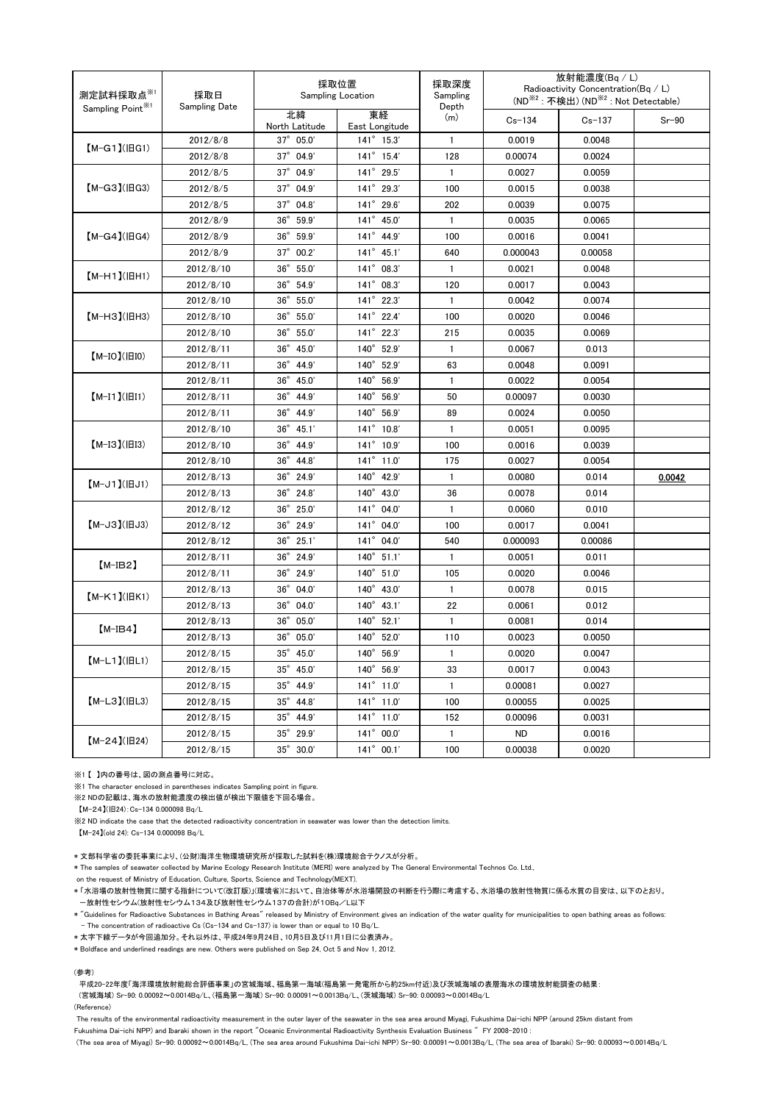| 測定試料採取点 $^{\text{\tiny $(\!\!\!\!\!\backslash$)}}$<br>採取日<br><b>Sampling Date</b><br>Sampling Point <sup>*1</sup> | 採取位置<br><b>Sampling Location</b> |                          | 採取深度<br>Sampling<br>Depth | 放射能濃度(Bg / L)<br>Radioactivity Concentration(Bq / L)<br>(ND <sup>※2</sup> : 不検出) (ND <sup>※2</sup> : Not Detectable) |            |            |         |
|-------------------------------------------------------------------------------------------------------------------|----------------------------------|--------------------------|---------------------------|----------------------------------------------------------------------------------------------------------------------|------------|------------|---------|
|                                                                                                                   |                                  | 北緯<br>North Latitude     | 東経<br>East Longitude      | (m)                                                                                                                  | $Cs - 134$ | $Cs - 137$ | $Sr-90$ |
| 【M-G1】(旧G1)                                                                                                       | 2012/8/8                         | $37^{\circ}$ 05.0'       | $141^{\circ}$ 15.3'       | $\mathbf{1}$                                                                                                         | 0.0019     | 0.0048     |         |
|                                                                                                                   | 2012/8/8                         | $37^{\circ}$ 04.9'       | 141° 15.4'                | 128                                                                                                                  | 0.00074    | 0.0024     |         |
|                                                                                                                   | 2012/8/5                         | $37^{\circ}$ 04.9'       | 141° 29.5'                | $\mathbf{1}$                                                                                                         | 0.0027     | 0.0059     |         |
| 【M-G3】(旧G3)                                                                                                       | 2012/8/5                         | 37° 04.9'                | $141^{\circ}$ 29.3'       | 100                                                                                                                  | 0.0015     | 0.0038     |         |
|                                                                                                                   | 2012/8/5                         | 37° 04.8'                | 141° 29.6'                | 202                                                                                                                  | 0.0039     | 0.0075     |         |
|                                                                                                                   | 2012/8/9                         | $36^\circ$<br>59.9       | 141° 45.0'                | $\mathbf{1}$                                                                                                         | 0.0035     | 0.0065     |         |
| $[M-G4]$ ( $H$ G4)                                                                                                | 2012/8/9                         | $36^{\circ}$<br>59.9     | 141° 44.9'                | 100                                                                                                                  | 0.0016     | 0.0041     |         |
|                                                                                                                   | 2012/8/9                         | 37° 00.2'                | $141^{\circ}$ 45.1'       | 640                                                                                                                  | 0.000043   | 0.00058    |         |
|                                                                                                                   | 2012/8/10                        | $36^\circ$<br>55.0'      | 141° 08.3'                | $\mathbf{1}$                                                                                                         | 0.0021     | 0.0048     |         |
| $(M-H1)(HH1)$                                                                                                     | 2012/8/10                        | $36^{\circ}$ 54.9'       | 141° 08.3'                | 120                                                                                                                  | 0.0017     | 0.0043     |         |
|                                                                                                                   | 2012/8/10                        | 36° 55.0'                | 141° 22.3'                | $\mathbf{1}$                                                                                                         | 0.0042     | 0.0074     |         |
| 【М-НЗ】(旧Н3)                                                                                                       | 2012/8/10                        | $36^\circ$<br>55.0'      | 141° 22.4'                | 100                                                                                                                  | 0.0020     | 0.0046     |         |
|                                                                                                                   | 2012/8/10                        | 36° 55.0'                | 141° 22.3'                | 215                                                                                                                  | 0.0035     | 0.0069     |         |
| $(M-IO)(III0)$                                                                                                    | 2012/8/11                        | 36° 45.0'                | 140° 52.9'                | $\mathbf{1}$                                                                                                         | 0.0067     | 0.013      |         |
|                                                                                                                   | 2012/8/11                        | $36^\circ$<br>44.9       | 140° 52.9'                | 63                                                                                                                   | 0.0048     | 0.0091     |         |
|                                                                                                                   | 2012/8/11                        | $36^\circ$<br>45.0'      | 140° 56.9'                | $\mathbf{1}$                                                                                                         | 0.0022     | 0.0054     |         |
| $[M-I1]( H1)$                                                                                                     | 2012/8/11                        | $36^\circ$<br>44.9       | $140^\circ$<br>56.9'      | 50                                                                                                                   | 0.00097    | 0.0030     |         |
|                                                                                                                   | 2012/8/11                        | $36^\circ$<br>44.9       | $140^\circ$<br>56.9'      | 89                                                                                                                   | 0.0024     | 0.0050     |         |
|                                                                                                                   | 2012/8/10                        | $36^\circ$<br>45.1'      | $141^{\circ}$ 10.8'       | $\mathbf{1}$                                                                                                         | 0.0051     | 0.0095     |         |
| $[M-I3](H13)$                                                                                                     | 2012/8/10                        | $36^\circ$<br>44.9       | $141^{\circ}$ 10.9'       | 100                                                                                                                  | 0.0016     | 0.0039     |         |
|                                                                                                                   | 2012/8/10                        | $36^\circ$<br>44.8       | $141^{\circ}$ 11.0'       | 175                                                                                                                  | 0.0027     | 0.0054     |         |
| $(M-J1)(HJI)$                                                                                                     | 2012/8/13                        | $36^\circ$<br>24.9'      | 140° 42.9'                | $\mathbf{1}$                                                                                                         | 0.0080     | 0.014      | 0.0042  |
|                                                                                                                   | 2012/8/13                        | $36^{\circ}$ 24.8'       | 140° 43.0'                | 36                                                                                                                   | 0.0078     | 0.014      |         |
|                                                                                                                   | 2012/8/12                        | $36^{\circ}$ 25.0'       | 141° 04.0'                | 1                                                                                                                    | 0.0060     | 0.010      |         |
| $[M-J3](HJ3)$                                                                                                     | 2012/8/12                        | 36° 24.9'                | 141° 04.0'                | 100                                                                                                                  | 0.0017     | 0.0041     |         |
|                                                                                                                   | 2012/8/12                        | 36° 25.1'                | 141° 04.0'                | 540                                                                                                                  | 0.000093   | 0.00086    |         |
| $[$ M-IB2 $]$                                                                                                     | 2012/8/11                        | 36° 24.9'                | $140^{\circ}$ 51.1'       | $\mathbf{1}$                                                                                                         | 0.0051     | 0.011      |         |
|                                                                                                                   | 2012/8/11                        | $36^{\circ}$ 24.9'       | 140° 51.0'                | 105                                                                                                                  | 0.0020     | 0.0046     |         |
| $[M-K1](HK1)$                                                                                                     | 2012/8/13                        | 36° 04.0'                | 140° 43.0'                | $\mathbf{1}$                                                                                                         | 0.0078     | 0.015      |         |
|                                                                                                                   | 2012/8/13                        | 36° 04.0'                | $140^{\circ}$ 43.1'       | 22                                                                                                                   | 0.0061     | 0.012      |         |
| $[M-IB4]$                                                                                                         | 2012/8/13                        | 36° 05.0'                | 140° 52.1'                | $\mathbf{1}$                                                                                                         | 0.0081     | 0.014      |         |
|                                                                                                                   | 2012/8/13                        | 36° 05.0'                | 140° 52.0'                | 110                                                                                                                  | 0.0023     | 0.0050     |         |
| $[M-L1]$ ( $ BL1$ )                                                                                               | 2012/8/15                        | 35° 45.0'                | 140° 56.9'                | $\mathbf{1}$                                                                                                         | 0.0020     | 0.0047     |         |
|                                                                                                                   | 2012/8/15                        | $35^{\circ}$ 45.0        | $140^{\circ}$ 56.9'       | 33                                                                                                                   | 0.0017     | 0.0043     |         |
| $[M-L3](HL3)$                                                                                                     | 2012/8/15                        | $35^{\circ}$ 44.9'       | 141° 11.0'                | $\mathbf{1}$                                                                                                         | 0.00081    | 0.0027     |         |
|                                                                                                                   | 2012/8/15                        | 35° 44.8'                | 141° 11.0'                | 100                                                                                                                  | 0.00055    | 0.0025     |         |
|                                                                                                                   | 2012/8/15                        | 35° 44.9'                | 141° 11.0'                | 152                                                                                                                  | 0.00096    | 0.0031     |         |
| $[M-24](H24)$                                                                                                     | 2012/8/15                        | 35° 29.9'                | 141° 00.0'                | $\mathbf{1}$                                                                                                         | <b>ND</b>  | 0.0016     |         |
|                                                                                                                   | 2012/8/15                        | $35^\circ$ $30.0^\prime$ | $141^{\circ}$ 00.1'       | 100                                                                                                                  | 0.00038    | 0.0020     |         |

※1 【 】内の番号は、図の測点番号に対応。

※1 The character enclosed in parentheses indicates Sampling point in figure.

※2 NDの記載は、海水の放射能濃度の検出値が検出下限値を下回る場合。

【M-24】(旧24):Cs-134 0.000098 Bq/L

※2 ND indicate the case that the detected radioactivity concentration in seawater was lower than the detection limits.

【M-24】(old 24): Cs-134 0.000098 Bq/L

\* 文部科学省の委託事業により、(公財)海洋生物環境研究所が採取した試料を(株)環境総合テクノスが分析。

\* The samples of seawater collected by Marine Ecology Research Institute (MERI) were analyzed by The General Environmental Technos Co. Ltd.,

on the request of Ministry of Education, Culture, Sports, Science and Technology(MEXT).

\* 「水浴場の放射性物質に関する指針について(改訂版)」(環境省)において、自治体等が水浴場開設の判断を行う際に考慮する、水浴場の放射性物質に係る水質の目安は、以下のとおり。 -放射性セシウム(放射性セシウム134及び放射性セシウム137の合計)が10Bq/L以下

\* "Guidelines for Radioactive Substances in Bathing Areas" released by Ministry of Environment gives an indication of the water quality for municipalities to open bathing areas as follows: - The concentration of radioactive Cs (Cs-134 and Cs-137) is lower than or equal to 10 Bq/L.

\* 太字下線データが今回追加分。それ以外は、平成24年9月24日、10月5日及び11月1日に公表済み。

\* Boldface and underlined readings are new. Others were published on Sep 24, Oct 5 and Nov 1, 2012.

#### (参考)

平成20-22年度「海洋環境放射能総合評価事業」の宮城海域、福島第一海域(福島第一発電所から約25km付近)及び茨城海域の表層海水の環境放射能調査の結果:

(宮城海域) Sr-90: 0.00092~0.0014Bq/L、(福島第一海域) Sr-90: 0.00091~0.0013Bq/L、(茨城海域) Sr-90: 0.00093~0.0014Bq/L

(Reference)

The results of the environmental radioactivity measurement in the outer layer of the seawater in the sea area around Miyagi, Fukushima Dai-ichi NPP (around 25km distant from

Fukushima Dai-ichi NPP) and Ibaraki shown in the report "Oceanic Environmental Radioactivity Synthesis Evaluation Business " FY 2008-2010 :

(The sea area of Miyagi) Sr-90: 0.00092~0.0014Bq/L, (The sea area around Fukushima Dai-ichi NPP) Sr-90: 0.00091~0.0013Bq/L, (The sea area of Ibaraki) Sr-90: 0.00093~0.0014Bq/L